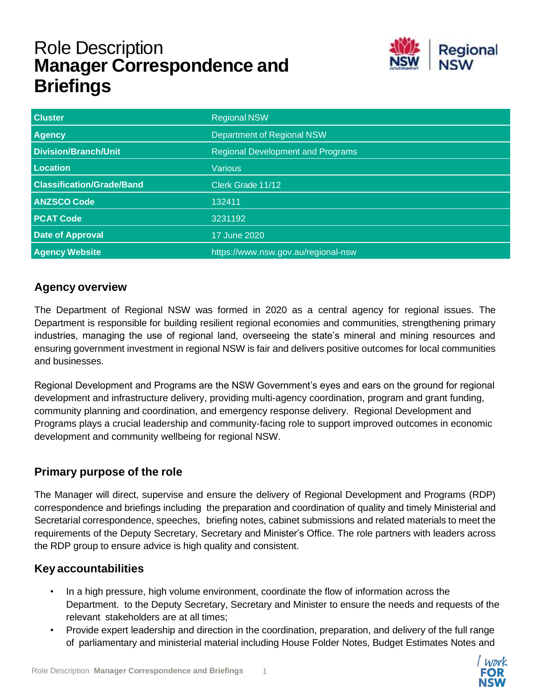# Role Description **Manager Correspondence and Briefings**



| <b>Cluster</b>                   | <b>Regional NSW</b>                      |
|----------------------------------|------------------------------------------|
| <b>Agency</b>                    | <b>Department of Regional NSW</b>        |
| <b>Division/Branch/Unit</b>      | <b>Regional Development and Programs</b> |
| Location                         | Various                                  |
| <b>Classification/Grade/Band</b> | Clerk Grade 11/12                        |
| <b>ANZSCO Code</b>               | 132411                                   |
| <b>PCAT Code</b>                 | 3231192                                  |
| <b>Date of Approval</b>          | 17 June 2020                             |
| <b>Agency Website</b>            | https://www.nsw.gov.au/regional-nsw      |

## **Agency overview**

The Department of Regional NSW was formed in 2020 as a central agency for regional issues. The Department is responsible for building resilient regional economies and communities, strengthening primary industries, managing the use of regional land, overseeing the state's mineral and mining resources and ensuring government investment in regional NSW is fair and delivers positive outcomes for local communities and businesses.

Regional Development and Programs are the NSW Government's eyes and ears on the ground for regional development and infrastructure delivery, providing multi-agency coordination, program and grant funding, community planning and coordination, and emergency response delivery. Regional Development and Programs plays a crucial leadership and community-facing role to support improved outcomes in economic development and community wellbeing for regional NSW.

# **Primary purpose of the role**

The Manager will direct, supervise and ensure the delivery of Regional Development and Programs (RDP) correspondence and briefings including the preparation and coordination of quality and timely Ministerial and Secretarial correspondence, speeches, briefing notes, cabinet submissions and related materials to meet the requirements of the Deputy Secretary, Secretary and Minister's Office. The role partners with leaders across the RDP group to ensure advice is high quality and consistent.

## **Key accountabilities**

- In a high pressure, high volume environment, coordinate the flow of information across the Department. to the Deputy Secretary, Secretary and Minister to ensure the needs and requests of the relevant stakeholders are at all times;
- Provide expert leadership and direction in the coordination, preparation, and delivery of the full range of parliamentary and ministerial material including House Folder Notes, Budget Estimates Notes and

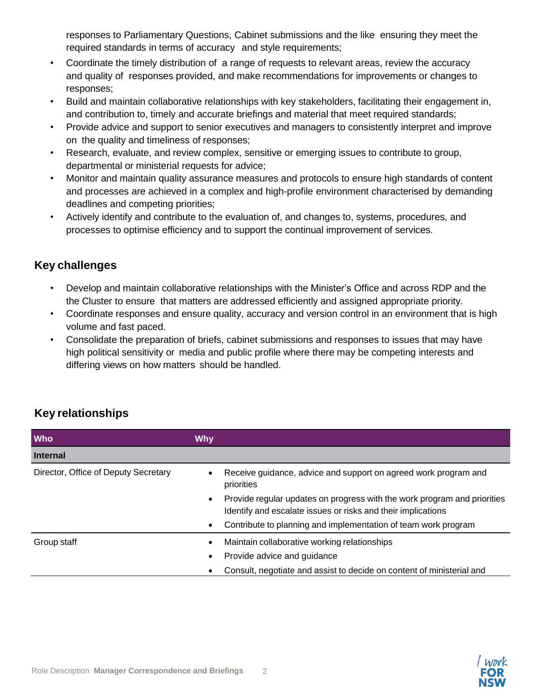responses to Parliamentary Questions, Cabinet submissions and the like ensuring they meet the required standards in terms of accuracy and style requirements;

- Coordinate the timely distribution of a range of requests to relevant areas, review the accuracy and quality of responses provided, and make recommendations for improvements or changes to responses;
- Build and maintain collaborative relationships with key stakeholders, facilitating their engagement in, and contribution to, timely and accurate briefings and material that meet required standards;
- Provide advice and support to senior executives and managers to consistently interpret and improve on the quality and timeliness of responses;
- Research, evaluate, and review complex, sensitive or emerging issues to contribute to group, departmental or ministerial requests for advice;
- Monitor and maintain quality assurance measures and protocols to ensure high standards of content and processes are achieved in a complex and high-profile environment characterised by demanding deadlines and competing priorities;
- Actively identify and contribute to the evaluation of, and changes to, systems, procedures, and processes to optimise efficiency and to support the continual improvement of services.

## **Key challenges**

- Develop and maintain collaborative relationships with the Minister's Office and across RDP and the the Cluster to ensure that matters are addressed efficiently and assigned appropriate priority.
- Coordinate responses and ensure quality, accuracy and version control in an environment that is high volume and fast paced.
- Consolidate the preparation of briefs, cabinet submissions and responses to issues that may have high political sensitivity or media and public profile where there may be competing interests and differing views on how matters should be handled.

| <b>Who</b>                           | <b>Why</b>                                                                                                                               |
|--------------------------------------|------------------------------------------------------------------------------------------------------------------------------------------|
| <b>Internal</b>                      |                                                                                                                                          |
| Director, Office of Deputy Secretary | Receive guidance, advice and support on agreed work program and<br>priorities                                                            |
|                                      | Provide regular updates on progress with the work program and priorities<br>Identify and escalate issues or risks and their implications |
|                                      | Contribute to planning and implementation of team work program                                                                           |
| Group staff                          | Maintain collaborative working relationships                                                                                             |
|                                      | Provide advice and guidance                                                                                                              |
|                                      | Consult, negotiate and assist to decide on content of ministerial and                                                                    |

# **Key relationships**

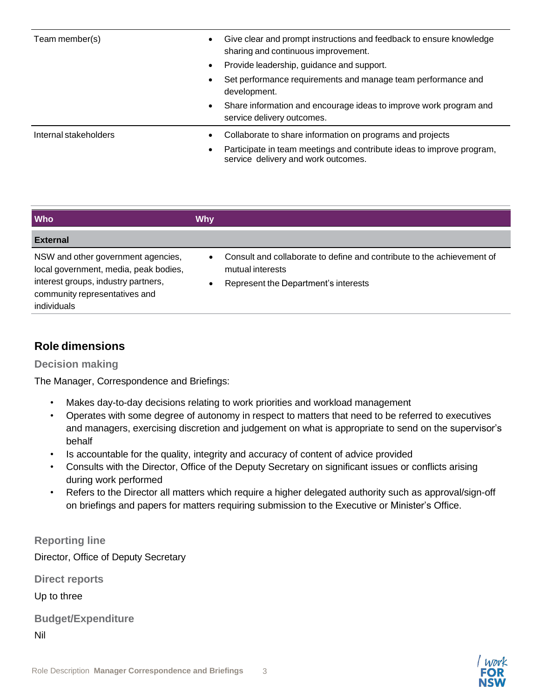| Team member(s)        | Give clear and prompt instructions and feedback to ensure knowledge<br>sharing and continuous improvement.   |
|-----------------------|--------------------------------------------------------------------------------------------------------------|
|                       | Provide leadership, guidance and support.<br>$\bullet$                                                       |
|                       | Set performance requirements and manage team performance and<br>development.                                 |
|                       | Share information and encourage ideas to improve work program and<br>٠<br>service delivery outcomes.         |
| Internal stakeholders | Collaborate to share information on programs and projects                                                    |
|                       | Participate in team meetings and contribute ideas to improve program,<br>service delivery and work outcomes. |

| <b>Who</b>                                                                                                         | <b>Why</b>                                                                                                                         |
|--------------------------------------------------------------------------------------------------------------------|------------------------------------------------------------------------------------------------------------------------------------|
| <b>External</b>                                                                                                    |                                                                                                                                    |
| NSW and other government agencies,<br>local government, media, peak bodies,<br>interest groups, industry partners, | Consult and collaborate to define and contribute to the achievement of<br>mutual interests<br>Represent the Department's interests |
| community representatives and<br>individuals                                                                       |                                                                                                                                    |

## **Role dimensions**

#### **Decision making**

The Manager, Correspondence and Briefings:

- Makes day-to-day decisions relating to work priorities and workload management
- Operates with some degree of autonomy in respect to matters that need to be referred to executives and managers, exercising discretion and judgement on what is appropriate to send on the supervisor's behalf
- Is accountable for the quality, integrity and accuracy of content of advice provided
- Consults with the Director, Office of the Deputy Secretary on significant issues or conflicts arising during work performed
- Refers to the Director all matters which require a higher delegated authority such as approval/sign-off on briefings and papers for matters requiring submission to the Executive or Minister's Office.

### **Reporting line**

Director, Office of Deputy Secretary

**Direct reports**

Up to three

**Budget/Expenditure**

Nil

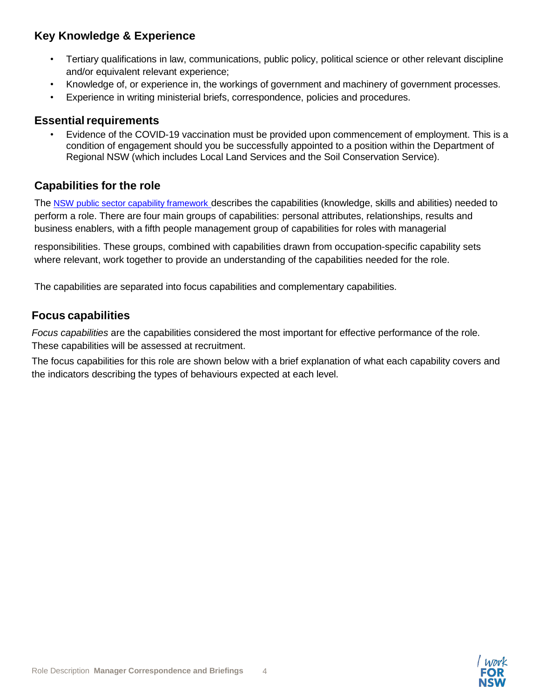# **Key Knowledge & Experience**

- Tertiary qualifications in law, communications, public policy, political science or other relevant discipline and/or equivalent relevant experience;
- Knowledge of, or experience in, the workings of government and machinery of government processes.
- Experience in writing ministerial briefs, correspondence, policies and procedures.

## **Essential requirements**

• Evidence of the COVID-19 vaccination must be provided upon commencement of employment. This is a condition of engagement should you be successfully appointed to a position within the Department of Regional NSW (which includes Local Land Services and the Soil Conservation Service).

# **Capabilities for the role**

The NSW public sector capability [framework](https://www.psc.nsw.gov.au/workforce-management/capability-framework/the-capability-framework) describes the capabilities (knowledge, skills and abilities) needed to perform a role. There are four main groups of capabilities: personal attributes, relationships, results and business enablers, with a fifth people management group of capabilities for roles with managerial

responsibilities. These groups, combined with capabilities drawn from occupation-specific capability sets where relevant, work together to provide an understanding of the capabilities needed for the role.

The capabilities are separated into focus capabilities and complementary capabilities.

## **Focus capabilities**

*Focus capabilities* are the capabilities considered the most important for effective performance of the role. These capabilities will be assessed at recruitment.

The focus capabilities for this role are shown below with a brief explanation of what each capability covers and the indicators describing the types of behaviours expected at each level.

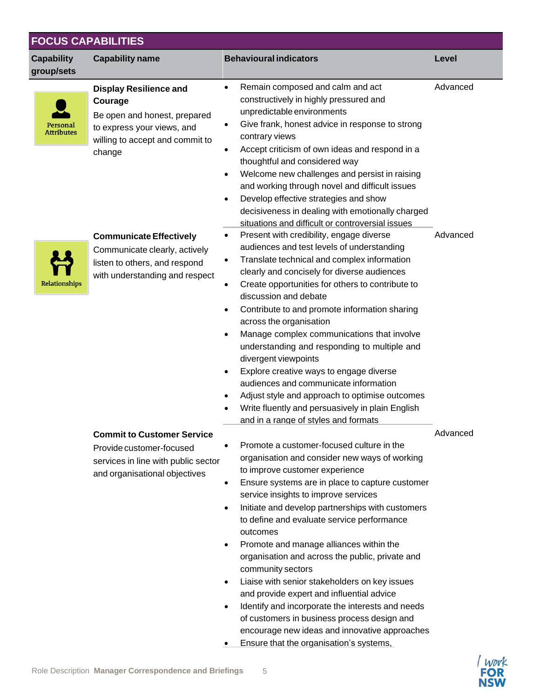| <b>Capability</b><br>group/sets | <b>Capability name</b>                                                                                                                              | <b>Behavioural indicators</b>                                                                                                                                                                                                                                                                                                                                                                                                                                                                                                                                                                                                                                                                                                                                                                                       | Level    |
|---------------------------------|-----------------------------------------------------------------------------------------------------------------------------------------------------|---------------------------------------------------------------------------------------------------------------------------------------------------------------------------------------------------------------------------------------------------------------------------------------------------------------------------------------------------------------------------------------------------------------------------------------------------------------------------------------------------------------------------------------------------------------------------------------------------------------------------------------------------------------------------------------------------------------------------------------------------------------------------------------------------------------------|----------|
| Personal<br><b>Attributes</b>   | <b>Display Resilience and</b><br>Courage<br>Be open and honest, prepared<br>to express your views, and<br>willing to accept and commit to<br>change | Remain composed and calm and act<br>٠<br>constructively in highly pressured and<br>unpredictable environments<br>Give frank, honest advice in response to strong<br>$\bullet$<br>contrary views<br>Accept criticism of own ideas and respond in a<br>٠<br>thoughtful and considered way<br>Welcome new challenges and persist in raising<br>$\bullet$<br>and working through novel and difficult issues<br>Develop effective strategies and show<br>$\bullet$<br>decisiveness in dealing with emotionally charged                                                                                                                                                                                                                                                                                                   | Advanced |
| Relationships                   | <b>Communicate Effectively</b><br>Communicate clearly, actively<br>listen to others, and respond<br>with understanding and respect                  | situations and difficult or controversial issues<br>Present with credibility, engage diverse<br>$\bullet$<br>audiences and test levels of understanding<br>Translate technical and complex information<br>clearly and concisely for diverse audiences<br>Create opportunities for others to contribute to<br>٠<br>discussion and debate<br>Contribute to and promote information sharing<br>$\bullet$<br>across the organisation<br>Manage complex communications that involve<br>understanding and responding to multiple and<br>divergent viewpoints<br>Explore creative ways to engage diverse<br>audiences and communicate information<br>Adjust style and approach to optimise outcomes<br>Write fluently and persuasively in plain English<br>and in a range of styles and formats                            | Advanced |
|                                 | <b>Commit to Customer Service</b><br>Provide customer-focused<br>services in line with public sector<br>and organisational objectives               | Promote a customer-focused culture in the<br>organisation and consider new ways of working<br>to improve customer experience<br>Ensure systems are in place to capture customer<br>$\bullet$<br>service insights to improve services<br>Initiate and develop partnerships with customers<br>$\bullet$<br>to define and evaluate service performance<br>outcomes<br>Promote and manage alliances within the<br>٠<br>organisation and across the public, private and<br>community sectors<br>Liaise with senior stakeholders on key issues<br>$\bullet$<br>and provide expert and influential advice<br>Identify and incorporate the interests and needs<br>$\bullet$<br>of customers in business process design and<br>encourage new ideas and innovative approaches<br>Ensure that the organisation's systems,<br>٠ | Advanced |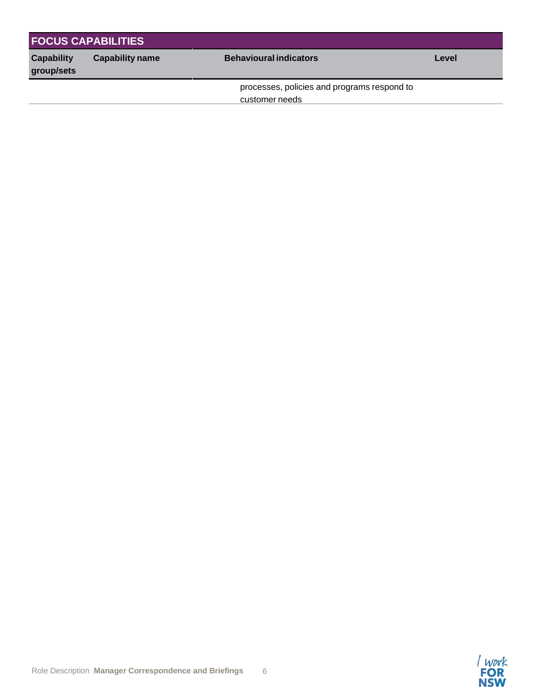| <b>FOCUS CAPABILITIES</b>       |                        |                                                               |       |
|---------------------------------|------------------------|---------------------------------------------------------------|-------|
| <b>Capability</b><br>group/sets | <b>Capability name</b> | <b>Behavioural indicators</b>                                 | Level |
|                                 |                        | processes, policies and programs respond to<br>customer needs |       |

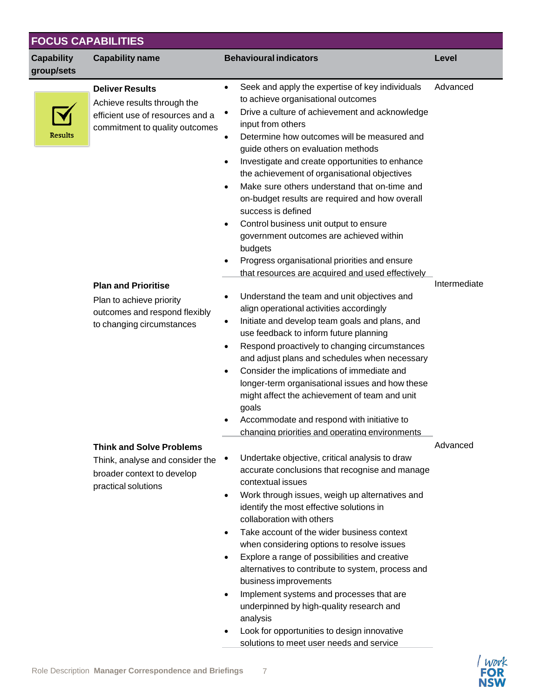| <b>Capability</b> | <b>Capability name</b>                                                                                                      | <b>Behavioural indicators</b>                                                                                                                                                                                                                                                                                                                                                                                                                                                                                                                                                                                                                                              | Level        |
|-------------------|-----------------------------------------------------------------------------------------------------------------------------|----------------------------------------------------------------------------------------------------------------------------------------------------------------------------------------------------------------------------------------------------------------------------------------------------------------------------------------------------------------------------------------------------------------------------------------------------------------------------------------------------------------------------------------------------------------------------------------------------------------------------------------------------------------------------|--------------|
| group/sets        |                                                                                                                             |                                                                                                                                                                                                                                                                                                                                                                                                                                                                                                                                                                                                                                                                            |              |
| Results           | <b>Deliver Results</b><br>Achieve results through the<br>efficient use of resources and a<br>commitment to quality outcomes | Seek and apply the expertise of key individuals<br>$\bullet$<br>to achieve organisational outcomes<br>Drive a culture of achievement and acknowledge<br>٠<br>input from others<br>Determine how outcomes will be measured and<br>guide others on evaluation methods<br>Investigate and create opportunities to enhance<br>the achievement of organisational objectives<br>Make sure others understand that on-time and<br>on-budget results are required and how overall<br>success is defined<br>Control business unit output to ensure<br>government outcomes are achieved within<br>budgets<br>Progress organisational priorities and ensure                            | Advanced     |
|                   | <b>Plan and Prioritise</b><br>Plan to achieve priority<br>outcomes and respond flexibly<br>to changing circumstances        | that resources are acquired and used effectively<br>Understand the team and unit objectives and<br>align operational activities accordingly<br>Initiate and develop team goals and plans, and<br>use feedback to inform future planning<br>Respond proactively to changing circumstances<br>$\bullet$<br>and adjust plans and schedules when necessary<br>Consider the implications of immediate and<br>$\bullet$<br>longer-term organisational issues and how these<br>might affect the achievement of team and unit<br>goals<br>Accommodate and respond with initiative to<br>changing priorities and operating environments                                             | Intermediate |
|                   | <b>Think and Solve Problems</b><br>Think, analyse and consider the<br>broader context to develop<br>practical solutions     | Undertake objective, critical analysis to draw<br>accurate conclusions that recognise and manage<br>contextual issues<br>Work through issues, weigh up alternatives and<br>identify the most effective solutions in<br>collaboration with others<br>Take account of the wider business context<br>when considering options to resolve issues<br>Explore a range of possibilities and creative<br>alternatives to contribute to system, process and<br>business improvements<br>Implement systems and processes that are<br>underpinned by high-quality research and<br>analysis<br>Look for opportunities to design innovative<br>solutions to meet user needs and service | Advanced     |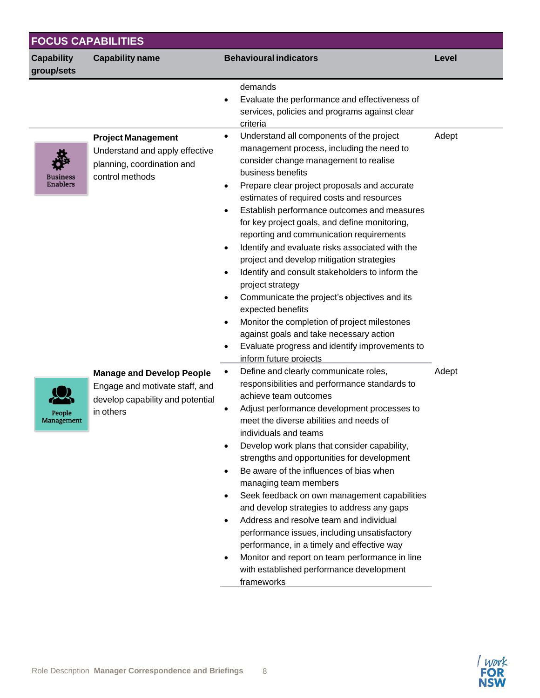| <b>Capability</b><br>group/sets | <b>Capability name</b>                                                                                              | <b>Behavioural indicators</b>                                                                                                                                                                                                                                                                                                                                                                                                                                                                                                                                                                                                                                                                                                                                                                                                             | Level |
|---------------------------------|---------------------------------------------------------------------------------------------------------------------|-------------------------------------------------------------------------------------------------------------------------------------------------------------------------------------------------------------------------------------------------------------------------------------------------------------------------------------------------------------------------------------------------------------------------------------------------------------------------------------------------------------------------------------------------------------------------------------------------------------------------------------------------------------------------------------------------------------------------------------------------------------------------------------------------------------------------------------------|-------|
|                                 |                                                                                                                     | demands<br>Evaluate the performance and effectiveness of<br>services, policies and programs against clear<br>criteria                                                                                                                                                                                                                                                                                                                                                                                                                                                                                                                                                                                                                                                                                                                     |       |
| Business<br><b>Enablers</b>     | <b>Project Management</b><br>Understand and apply effective<br>planning, coordination and<br>control methods        | Understand all components of the project<br>$\bullet$<br>management process, including the need to<br>consider change management to realise<br>business benefits<br>Prepare clear project proposals and accurate<br>estimates of required costs and resources<br>Establish performance outcomes and measures<br>for key project goals, and define monitoring,<br>reporting and communication requirements<br>Identify and evaluate risks associated with the<br>project and develop mitigation strategies<br>Identify and consult stakeholders to inform the<br>project strategy<br>Communicate the project's objectives and its<br>expected benefits<br>Monitor the completion of project milestones<br>against goals and take necessary action<br>Evaluate progress and identify improvements to<br>$\bullet$<br>inform future projects | Adept |
| People<br>Management            | <b>Manage and Develop People</b><br>Engage and motivate staff, and<br>develop capability and potential<br>in others | Define and clearly communicate roles,<br>$\bullet$<br>responsibilities and performance standards to<br>achieve team outcomes<br>Adjust performance development processes to<br>meet the diverse abilities and needs of<br>individuals and teams<br>Develop work plans that consider capability,<br>strengths and opportunities for development<br>Be aware of the influences of bias when<br>managing team members<br>Seek feedback on own management capabilities<br>and develop strategies to address any gaps<br>Address and resolve team and individual<br>$\bullet$<br>performance issues, including unsatisfactory<br>performance, in a timely and effective way<br>Monitor and report on team performance in line<br>with established performance development<br>frameworks                                                        | Adept |